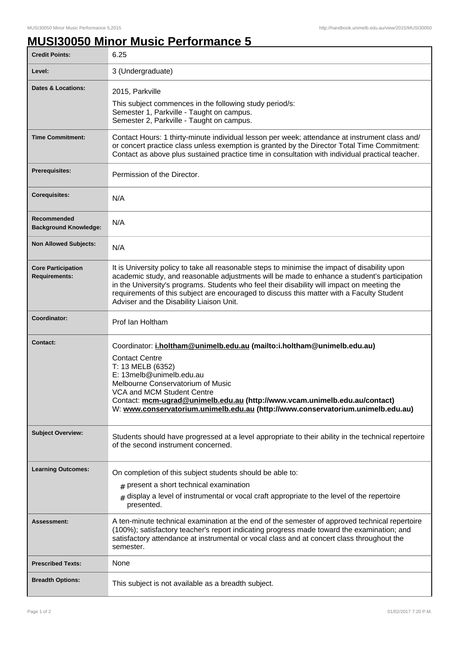## **MUSI30050 Minor Music Performance 5**

| <b>Credit Points:</b>                             | 6.25                                                                                                                                                                                                                                                                                                                                                                                                                                   |
|---------------------------------------------------|----------------------------------------------------------------------------------------------------------------------------------------------------------------------------------------------------------------------------------------------------------------------------------------------------------------------------------------------------------------------------------------------------------------------------------------|
| Level:                                            | 3 (Undergraduate)                                                                                                                                                                                                                                                                                                                                                                                                                      |
| Dates & Locations:                                | 2015, Parkville<br>This subject commences in the following study period/s:<br>Semester 1, Parkville - Taught on campus.<br>Semester 2, Parkville - Taught on campus.                                                                                                                                                                                                                                                                   |
| <b>Time Commitment:</b>                           | Contact Hours: 1 thirty-minute individual lesson per week; attendance at instrument class and/<br>or concert practice class unless exemption is granted by the Director Total Time Commitment:<br>Contact as above plus sustained practice time in consultation with individual practical teacher.                                                                                                                                     |
| <b>Prerequisites:</b>                             | Permission of the Director.                                                                                                                                                                                                                                                                                                                                                                                                            |
| <b>Corequisites:</b>                              | N/A                                                                                                                                                                                                                                                                                                                                                                                                                                    |
| Recommended<br><b>Background Knowledge:</b>       | N/A                                                                                                                                                                                                                                                                                                                                                                                                                                    |
| <b>Non Allowed Subjects:</b>                      | N/A                                                                                                                                                                                                                                                                                                                                                                                                                                    |
| <b>Core Participation</b><br><b>Requirements:</b> | It is University policy to take all reasonable steps to minimise the impact of disability upon<br>academic study, and reasonable adjustments will be made to enhance a student's participation<br>in the University's programs. Students who feel their disability will impact on meeting the<br>requirements of this subject are encouraged to discuss this matter with a Faculty Student<br>Adviser and the Disability Liaison Unit. |
| Coordinator:                                      | Prof Ian Holtham                                                                                                                                                                                                                                                                                                                                                                                                                       |
| <b>Contact:</b>                                   | Coordinator: i.holtham@unimelb.edu.au (mailto:i.holtham@unimelb.edu.au)<br><b>Contact Centre</b><br>T: 13 MELB (6352)<br>E: 13melb@unimelb.edu.au<br>Melbourne Conservatorium of Music<br>VCA and MCM Student Centre<br>Contact: mcm-ugrad@unimelb.edu.au (http://www.vcam.unimelb.edu.au/contact)<br>W: www.conservatorium.unimelb.edu.au (http://www.conservatorium.unimelb.edu.au)                                                  |
| <b>Subject Overview:</b>                          | Students should have progressed at a level appropriate to their ability in the technical repertoire<br>of the second instrument concerned.                                                                                                                                                                                                                                                                                             |
| <b>Learning Outcomes:</b>                         | On completion of this subject students should be able to:<br>$#$ present a short technical examination<br>$*$ display a level of instrumental or vocal craft appropriate to the level of the repertoire<br>presented.                                                                                                                                                                                                                  |
| Assessment:                                       | A ten-minute technical examination at the end of the semester of approved technical repertoire<br>(100%); satisfactory teacher's report indicating progress made toward the examination; and<br>satisfactory attendance at instrumental or vocal class and at concert class throughout the<br>semester.                                                                                                                                |
| <b>Prescribed Texts:</b>                          | None                                                                                                                                                                                                                                                                                                                                                                                                                                   |
| <b>Breadth Options:</b>                           | This subject is not available as a breadth subject.                                                                                                                                                                                                                                                                                                                                                                                    |